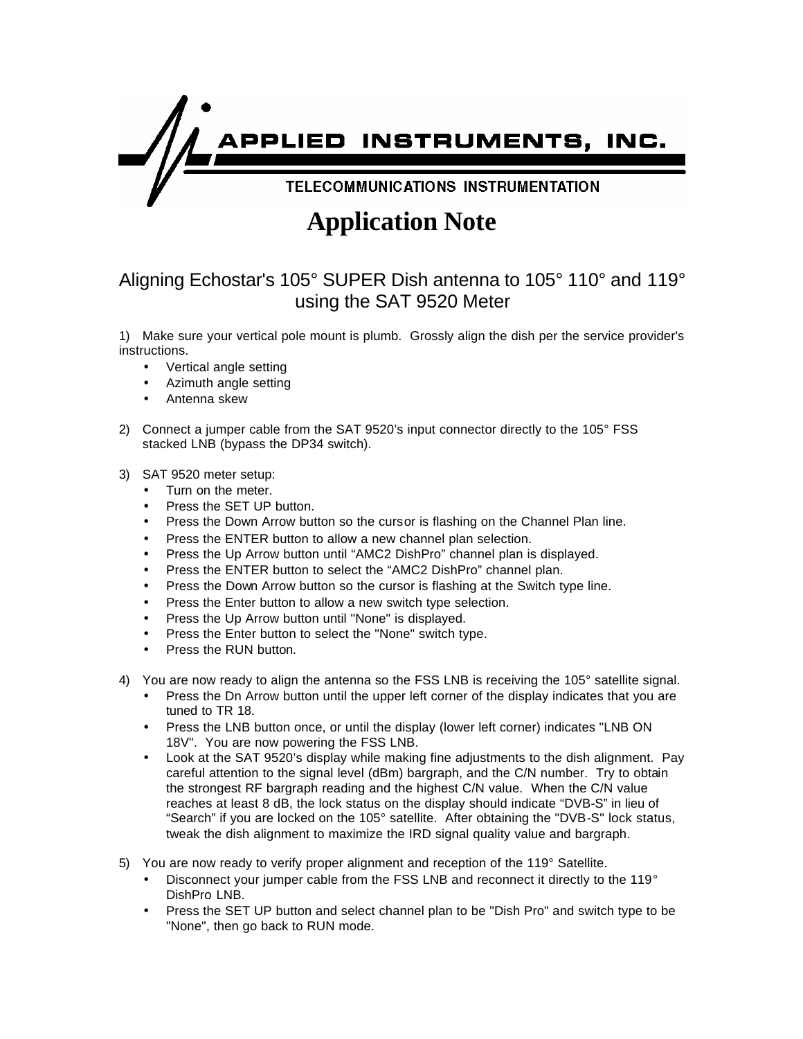

## **Application Note**

## Aligning Echostar's 105° SUPER Dish antenna to 105° 110° and 119° using the SAT 9520 Meter

1) Make sure your vertical pole mount is plumb. Grossly align the dish per the service provider's instructions.

- Vertical angle setting
- Azimuth angle setting
- Antenna skew
- 2) Connect a jumper cable from the SAT 9520's input connector directly to the 105° FSS stacked LNB (bypass the DP34 switch).

## 3) SAT 9520 meter setup:

- Turn on the meter.
- Press the SET UP button.
- Press the Down Arrow button so the cursor is flashing on the Channel Plan line.
- Press the ENTER button to allow a new channel plan selection.
- Press the Up Arrow button until "AMC2 DishPro" channel plan is displayed.
- Press the ENTER button to select the "AMC2 DishPro" channel plan.
- Press the Down Arrow button so the cursor is flashing at the Switch type line.
- Press the Enter button to allow a new switch type selection.
- Press the Up Arrow button until "None" is displayed.
- Press the Enter button to select the "None" switch type.
- Press the RUN button.
- 4) You are now ready to align the antenna so the FSS LNB is receiving the 105° satellite signal.
	- Press the Dn Arrow button until the upper left corner of the display indicates that you are tuned to TR 18.
	- Press the LNB button once, or until the display (lower left corner) indicates "LNB ON 18V". You are now powering the FSS LNB.
	- Look at the SAT 9520's display while making fine adjustments to the dish alignment. Pay careful attention to the signal level (dBm) bargraph, and the C/N number. Try to obtain the strongest RF bargraph reading and the highest C/N value. When the C/N value reaches at least 8 dB, the lock status on the display should indicate "DVB-S" in lieu of "Search" if you are locked on the 105° satellite. After obtaining the "DVB-S" lock status, tweak the dish alignment to maximize the IRD signal quality value and bargraph.
- 5) You are now ready to verify proper alignment and reception of the 119° Satellite.
	- Disconnect your jumper cable from the FSS LNB and reconnect it directly to the 119° DishPro LNB.
	- Press the SET UP button and select channel plan to be "Dish Pro" and switch type to be "None", then go back to RUN mode.